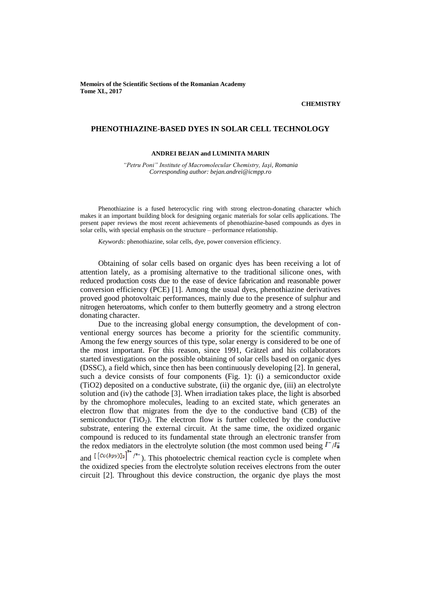**Memoirs of the Scientific Sections of the Romanian Academy Tome XL, 2017**

# **CHEMISTRY**

#### **PHENOTHIAZINE-BASED DYES IN SOLAR CELL TECHNOLOGY**

#### **ANDREI BEJAN and LUMINITA MARIN**

*"Petru Poni" Institute of Macromolecular Chemistry, Iaşi, Romania Corresponding author: bejan.andrei@icmpp.ro*

Phenothiazine is a fused heterocyclic ring with strong electron-donating character which makes it an important building block for designing organic materials for solar cells applications. The present paper reviews the most recent achievements of phenothiazine-based compounds as dyes in solar cells, with special emphasis on the structure – performance relationship.

*Keywords*: phenothiazine, solar cells, dye, power conversion efficiency.

Obtaining of solar cells based on organic dyes has been receiving a lot of attention lately, as a promising alternative to the traditional silicone ones, with reduced production costs due to the ease of device fabrication and reasonable power conversion efficiency (PCE) [1]. Among the usual dyes, phenothiazine derivatives proved good photovoltaic performances, mainly due to the presence of sulphur and nitrogen heteroatoms, which confer to them butterfly geometry and a strong electron donating character.

Due to the increasing global energy consumption, the development of conventional energy sources has become a priority for the scientific community. Among the few energy sources of this type, solar energy is considered to be one of the most important. For this reason, since 1991, Grätzel and his collaborators started investigations on the possible obtaining of solar cells based on organic dyes (DSSC), a field which, since then has been continuously developing [2]. In general, such a device consists of four components (Fig. 1): (i) a semiconductor oxide (TiO2) deposited on a conductive substrate, (ii) the organic dye, (iii) an electrolyte solution and (iv) the cathode [3]. When irradiation takes place, the light is absorbed by the chromophore molecules, leading to an excited state, which generates an electron flow that migrates from the dye to the conductive band (CB) of the semiconductor  $(TiO_2)$ . The electron flow is further collected by the conductive substrate, entering the external circuit. At the same time, the oxidized organic compound is reduced to its fundamental state through an electronic transfer from the redox mediators in the electrolyte solution (the most common used being  $I^{-}/I_{\overline{a}}$ ) and  $\left[\cos(\frac{bpy}{\lambda})\right]^{2^*}$  ( $\left[\cos(\frac{bpy}{\lambda})\right]^{2^*}$ ). This photoelectric chemical reaction cycle is complete when the oxidized species from the electrolyte solution receives electrons from the outer circuit [2]. Throughout this device construction, the organic dye plays the most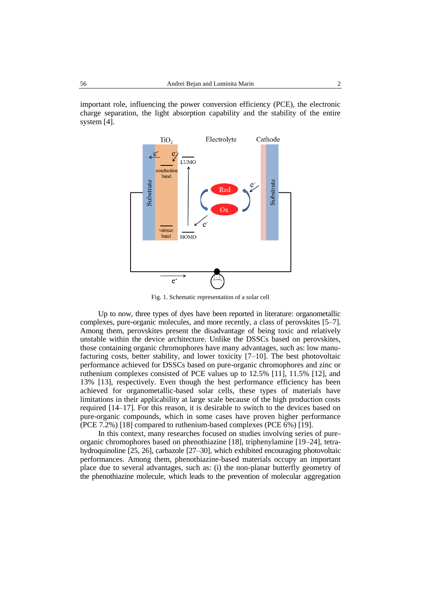important role, influencing the power conversion efficiency (PCE), the electronic charge separation, the light absorption capability and the stability of the entire system [4].



Fig. 1. Schematic representation of a solar cell

Up to now, three types of dyes have been reported in literature: organometallic complexes, pure-organic molecules, and more recently, a class of perovskites [5–7]. Among them, perovskites present the disadvantage of being toxic and relatively unstable within the device architecture. Unlike the DSSCs based on perovskites, those containing organic chromophores have many advantages, such as: low manufacturing costs, better stability, and lower toxicity [7–10]. The best photovoltaic performance achieved for DSSCs based on pure-organic chromophores and zinc or ruthenium complexes consisted of PCE values up to 12.5% [11], 11.5% [12], and 13% [13], respectively. Even though the best performance efficiency has been achieved for organometallic-based solar cells, these types of materials have limitations in their applicability at large scale because of the high production costs required [14–17]. For this reason, it is desirable to switch to the devices based on pure-organic compounds, which in some cases have proven higher performance (PCE 7.2%) [18] compared to ruthenium-based complexes (PCE 6%) [19].

In this context, many researches focused on studies involving series of pureorganic chromophores based on phenothiazine [18], triphenylamine [19–24], tetrahydroquinoline [25, 26], carbazole [27–30], which exhibited encouraging photovoltaic performances. Among them, phenothiazine-based materials occupy an important place due to several advantages, such as: (i) the non-planar butterfly geometry of the phenothiazine molecule, which leads to the prevention of molecular aggregation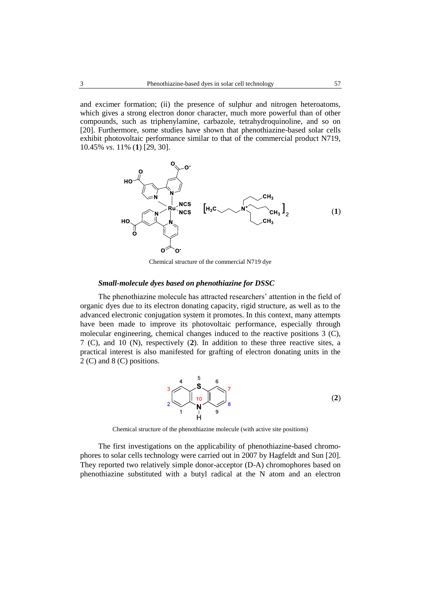and excimer formation; (ii) the presence of sulphur and nitrogen heteroatoms, which gives a strong electron donor character, much more powerful than of other compounds, such as triphenylamine, carbazole, tetrahydroquinoline, and so on [20]. Furthermore, some studies have shown that phenothiazine-based solar cells exhibit photovoltaic performance similar to that of the commercial product N719, 10.45% *vs.* 11% (**1**) [29, 30].



Chemical structure of the commercial N719 dye

## *Small-molecule dyes based on phenothiazine for DSSC*

The phenothiazine molecule has attracted researchers' attention in the field of organic dyes due to its electron donating capacity, rigid structure, as well as to the advanced electronic conjugation system it promotes. In this context, many attempts have been made to improve its photovoltaic performance, especially through molecular engineering, chemical changes induced to the reactive positions 3 (C), 7 (C), and 10 (N), respectively (**2**). In addition to these three reactive sites, a practical interest is also manifested for grafting of electron donating units in the 2 (C) and 8 (C) positions.



Chemical structure of the phenothiazine molecule (with active site positions)

The first investigations on the applicability of phenothiazine-based chromophores to solar cells technology were carried out in 2007 by Hagfeldt and Sun [20]. They reported two relatively simple donor-acceptor (D-A) chromophores based on phenothiazine substituted with a butyl radical at the N atom and an electron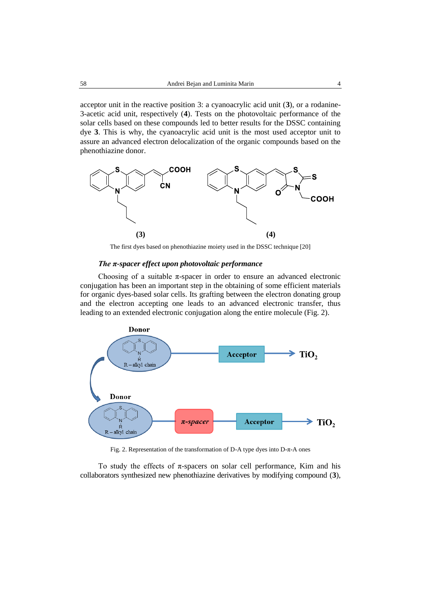acceptor unit in the reactive position 3: a cyanoacrylic acid unit (**3**), or a rodanine-3-acetic acid unit, respectively (**4**). Tests on the photovoltaic performance of the solar cells based on these compounds led to better results for the DSSC containing dye **3**. This is why, the cyanoacrylic acid unit is the most used acceptor unit to assure an advanced electron delocalization of the organic compounds based on the phenothiazine donor.



The first dyes based on phenothiazine moiety used in the DSSC technique [20]

## *The π-spacer effect upon photovoltaic performance*

Choosing of a suitable  $\pi$ -spacer in order to ensure an advanced electronic conjugation has been an important step in the obtaining of some efficient materials for organic dyes-based solar cells. Its grafting between the electron donating group and the electron accepting one leads to an advanced electronic transfer, thus leading to an extended electronic conjugation along the entire molecule (Fig. 2).



Fig. 2. Representation of the transformation of D-A type dyes into D-π-A ones

To study the effects of  $\pi$ -spacers on solar cell performance, Kim and his collaborators synthesized new phenothiazine derivatives by modifying compound (**3**),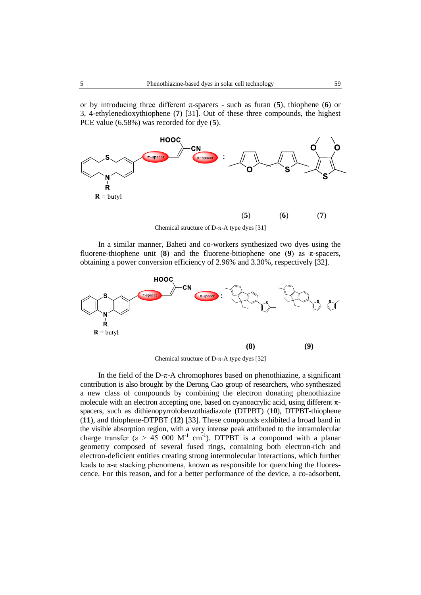or by introducing three different π-spacers - such as furan (**5**), thiophene (**6**) or 3, 4-ethylenedioxythiophene (**7**) [31]. Out of these three compounds, the highest PCE value (6.58%) was recorded for dye (**5**).



Chemical structure of D-π-A type dyes [31]

In a similar manner, Baheti and co-workers synthesized two dyes using the fluorene-thiophene unit (**8**) and the fluorene-bitiophene one (**9**) as  $\pi$ -spacers, obtaining a power conversion efficiency of 2.96% and 3.30%, respectively [32].



Chemical structure of D-π-A type dyes [32]

In the field of the  $D-\pi$ -A chromophores based on phenothiazine, a significant contribution is also brought by the Derong Cao group of researchers, who synthesized a new class of compounds by combining the electron donating phenothiazine molecule with an electron accepting one, based on cyanoacrylic acid, using different  $\pi$ spacers, such as dithienopyrrolobenzothiadiazole (DTPBT) (**10**), DTPBT-thiophene (**11**), and thiophene-DTPBT (**12**) [33]. These compounds exhibited a broad band in the visible absorption region, with a very intense peak attributed to the intramolecular charge transfer ( $\epsilon > 45000 \text{ M}^{-1} \text{ cm}^{-1}$ ). DTPBT is a compound with a planar geometry composed of several fused rings, containing both electron-rich and electron-deficient entities creating strong intermolecular interactions, which further leads to  $\pi$ - $\pi$  stacking phenomena, known as responsible for quenching the fluorescence. For this reason, and for a better performance of the device, a co-adsorbent,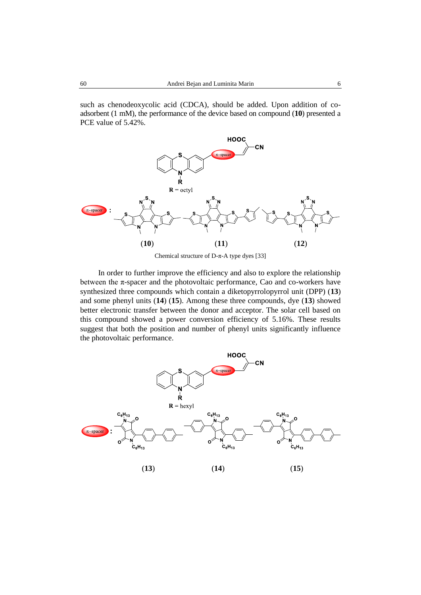such as chenodeoxycolic acid (CDCA), should be added. Upon addition of coadsorbent (1 mM), the performance of the device based on compound (**10**) presented a PCE value of 5.42%.



Chemical structure of D-π-A type dyes [33]

In order to further improve the efficiency and also to explore the relationship between the  $\pi$ -spacer and the photovoltaic performance, Cao and co-workers have synthesized three compounds which contain a diketopyrrolopyrrol unit (DPP) (**13**) and some phenyl units (**14**) (**15**). Among these three compounds, dye (**13**) showed better electronic transfer between the donor and acceptor. The solar cell based on this compound showed a power conversion efficiency of 5.16%. These results suggest that both the position and number of phenyl units significantly influence the photovoltaic performance.

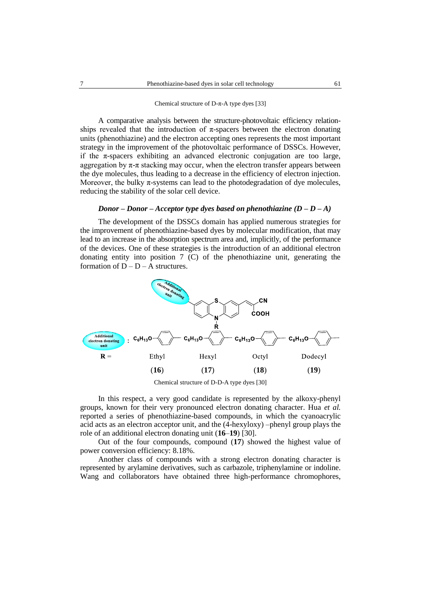#### Chemical structure of D-π-A type dyes [33]

A comparative analysis between the structure-photovoltaic efficiency relationships revealed that the introduction of  $\pi$ -spacers between the electron donating units (phenothiazine) and the electron accepting ones represents the most important strategy in the improvement of the photovoltaic performance of DSSCs. However, if the  $\pi$ -spacers exhibiting an advanced electronic conjugation are too large, aggregation by  $\pi$ - $\pi$  stacking may occur, when the electron transfer appears between the dye molecules, thus leading to a decrease in the efficiency of electron injection. Moreover, the bulky  $\pi$ -systems can lead to the photodegradation of dye molecules, reducing the stability of the solar cell device.

## *Donor* – *Donor* – *Acceptor type dyes based on phenothiazine*  $(D - D - A)$

The development of the DSSCs domain has applied numerous strategies for the improvement of phenothiazine-based dyes by molecular modification, that may lead to an increase in the absorption spectrum area and, implicitly, of the performance of the devices. One of these strategies is the introduction of an additional electron donating entity into position 7 (C) of the phenothiazine unit, generating the formation of  $D - D - A$  structures.



Chemical structure of D-D-A type dyes [30]

In this respect, a very good candidate is represented by the alkoxy-phenyl groups, known for their very pronounced electron donating character. Hua *et al.* reported a series of phenothiazine-based compounds, in which the cyanoacrylic acid acts as an electron acceptor unit, and the (4-hexyloxy) –phenyl group plays the role of an additional electron donating unit (**16**–**19**) [30].

Out of the four compounds, compound (**17**) showed the highest value of power conversion efficiency: 8.18%.

Another class of compounds with a strong electron donating character is represented by arylamine derivatives, such as carbazole, triphenylamine or indoline. Wang and collaborators have obtained three high-performance chromophores,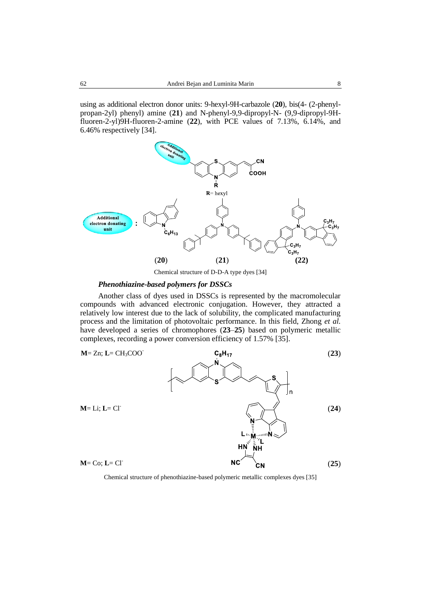using as additional electron donor units: 9-hexyl-9H-carbazole (**20**), bis(4- (2-phenylpropan-2yl) phenyl) amine (**21**) and N-phenyl-9,9-dipropyl-N- (9,9-dipropyl-9Hfluoren-2-yl)9H-fluoren-2-amine (**22**), with PCE values of 7.13%, 6.14%, and 6.46% respectively [34].



Chemical structure of D-D-A type dyes [34]

## *Phenothiazine-based polymers for DSSCs*

Another class of dyes used in DSSCs is represented by the macromolecular compounds with advanced electronic conjugation. However, they attracted a relatively low interest due to the lack of solubility, the complicated manufacturing process and the limitation of photovoltaic performance. In this field, Zhong *et al.* have developed a series of chromophores (**23**–**25**) based on polymeric metallic complexes, recording a power conversion efficiency of 1.57% [35].



Chemical structure of phenothiazine-based polymeric metallic complexes dyes [35]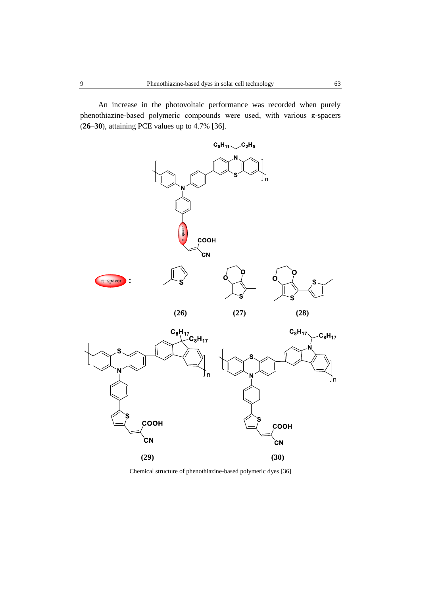An increase in the photovoltaic performance was recorded when purely phenothiazine-based polymeric compounds were used, with various π-spacers (**26**–**30**), attaining PCE values up to 4.7% [36].



Chemical structure of phenothiazine-based polymeric dyes [36]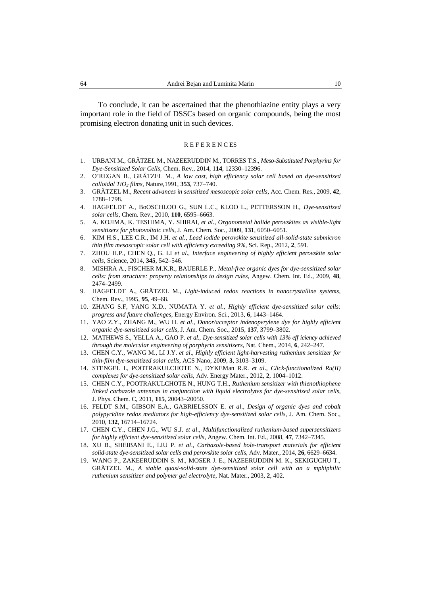To conclude, it can be ascertained that the phenothiazine entity plays a very important role in the field of DSSCs based on organic compounds, being the most promising electron donating unit in such devices.

#### **REFERENCES**

- 1. URBANI M., GRÄTZEL M., NAZEERUDDIN M., TORRES T.S., *Meso-Substituted Porphyrins for Dye-Sensitized Solar Cells*, Chem. Rev., 2014, 1**14**, 12330–12396.
- 2. O'REGAN B., GRÄTZEL M., *A low cost, high efficiency solar cell based on dye-sensitized colloidal TiO<sup>2</sup> films*, Nature,1991, **353**, 737–740.
- 3. GRÄTZEL M., *Recent advances in sensitized mesoscopic solar cells*, Acc. Chem. Res., 2009, **42**, 1788–1798.
- 4. HAGFELDT A., BoOSCHLOO G., SUN L.C., KLOO L., PETTERSSON H., *Dye-sensitized solar cells*, Chem. Rev., 2010, **110**, 6595–6663.
- 5. A. KOJIMA, K. TESHIMA, Y. SHIRAI, *et al*., *Organometal halide perovskites as visible-light sensitizers for photovoltaic cells*, J. Am. Chem. Soc., 2009, **131**, 6050–6051.
- 6. KIM H.S., LEE C.R., IM J.H. *et al*., *Lead iodide perovskite sensitized all-solid-state submicron thin film mesoscopic solar cell with efficiency exceeding 9%*, Sci. Rep., 2012, **2**, 591.
- 7. ZHOU H.P., CHEN Q., G. LI *et al*., *Interface engineering of highly efficient perovskite solar cells*, Science, 2014, **345**, 542–546.
- 8. MISHRA A., FISCHER M.K.R., BAUERLE P., *Metal-free organic dyes for dye-sensitized solar cells: from structure: property relationships to design rules*, Angew. Chem. Int. Ed., 2009, **48**, 2474–2499.
- 9. HAGFELDT A., GRÄTZEL M., *Light-induced redox reactions in nanocrystalline systems*, Chem. Rev., 1995, **95**, 49–68.
- 10. ZHANG S.F, YANG X.D., NUMATA Y. *et al*., *Highly efficient dye-sensitized solar cells: progress and future challenges*, Energy Environ. Sci., 2013, **6**, 1443–1464.
- 11. YAO Z.Y., ZHANG M., WU H. *et al*., *Donor/acceptor indenoperylene dye for highly efficient organic dye-sensitized solar cells*, J. Am. Chem. Soc., 2015, **137**, 3799–3802.
- 12. MATHEWS S., YELLA A., GAO P. *et al*., *Dye-sensitized solar cells with 13% eff iciency achieved through the molecular engineering of porphyrin sensitizers*, Nat. Chem., 2014, **6**, 242–247.
- 13. CHEN C.Y., WANG M., LI J.Y. *et al*., *Highly efficient light-harvesting ruthenium sensitizer for thin-film dye-sensitized solar cells*, ACS Nano, 2009, **3**, 3103–3109.
- 14. STENGEL I., POOTRAKULCHOTE N., DYKEMan R.R. *et al*., *Click-functionalized Ru(II) complexes for dye-sensitized solar cells*, Adv. Energy Mater., 2012, **2**, 1004–1012.
- 15. CHEN C.Y., POOTRAKULCHOTE N., HUNG T.H., *Ruthenium sensitizer with thienothiophene linked carbazole antennas in conjunction with liquid electrolytes for dye-sensitized solar cells*, J. Phys. Chem. C, 2011, **115**, 20043–20050.
- 16. FELDT S.M., GIBSON E.A., GABRIELSSON E. *et al*., *Design of organic dyes and cobalt polypyridine redox mediators for high-efficiency dye-sensitized solar cells*, J. Am. Chem. Soc., 2010, **132**, 16714–16724.
- 17. CHEN C.Y., CHEN J.G., WU S.J. *et al*., *Multifunctionalized ruthenium-based supersensitizers for highly efficient dye-sensitized solar cells*, Angew. Chem. Int. Ed., 2008, **47**, 7342–7345.
- 18. XU B., SHEIBANI E., LIU P. *et al*., *Carbazole-based hole-transport materials for efficient solid-state dye-sensitized solar cells and perovskite solar cells*, Adv. Mater., 2014, **26**, 6629–6634.
- 19. WANG P., ZAKEERUDDIN S. M., MOSER J. E., NAZEERUDDIN M. K., SEKIGUCHU T., GRÄTZEL M., *A stable quasi-solid-state dye-sensitized solar cell with an a mphiphilic ruthenium sensitizer and polymer gel electrolyte*, Nat. Mater., 2003, **2**, 402.